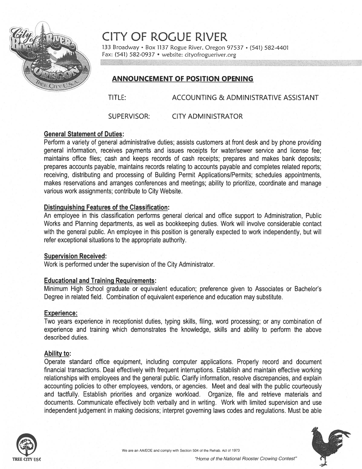

CITY OF ROGUE RIVER

133 Broadway · Box 1137 Rogue River, Oregon 97537 · (541) 582-4401 Fax: (541) 582-0937 • website: cityofrogueriver.org

# ANNOUNCEMENT OF POSITION OPENING

TITLE: ACCOUNTING & ADMINISTRATIVE ASSISTANT

SUPERVISOR: CITY ADMINISTRATOR

# General Statement of Duties:

Perform <sup>a</sup> variety of general administrative duties; assists customers at front desk and by phone providing general information, receives payments and issues receipts for water/sewer service and license fee; maintains office files; cash and keeps records of cash receipts; prepares and makes bank deposits; prepares accounts payable, maintains records relating to accounts payable and completes related reports; receiving, distributing and processing of Building Permit Applications/Permits; schedules appointments, makes reservations and arranges conferences and meetings; ability to prioritize, coordinate and manage various work assignments; contribute to City Website.

### Distinguishing Features of the Classification:

An employee in this classification performs general clerical and office suppor<sup>t</sup> to Administration, Public Works and Planning departments, as well as bookkeeping duties. Work will involve considerable contact with the general public. An employee in this position is generally expected to work independently, but will refer exceptional situations to the appropriate authority.

### Supervision Received:

Work is performed under the supervision of the City Administrator.

### Educational and Training Requirements:

Minimum High School graduate or equivalent education; preference given to Associates or Bachelor's Degree in related field. Combination of equivalent experience and education may substitute.

### Experience:

Two years experience in receptionist duties, typing skills, filing, word processing; or any combination of experience and training which demonstrates the knowledge, skills and ability to perform the above described duties.

### Ability to:

Operate standard office equipment, including computer applications. Properly record and document financial transactions. Deal effectively with frequent interruptions. Establish and maintain effective working relationships with employees and the general public. Clarify information, resolve discrepancies, and explain accounting policies to other employees, vendors, or agencies. Meet and deal with the public courteously and tactfully. Establish priorities and organize workload. Organize, file and retrieve materials and documents. Communicate effectively both verbally and in writing. Work with limited supervision and use independent judgement in making decisions; interpret governing laws codes and regulations. Must be able